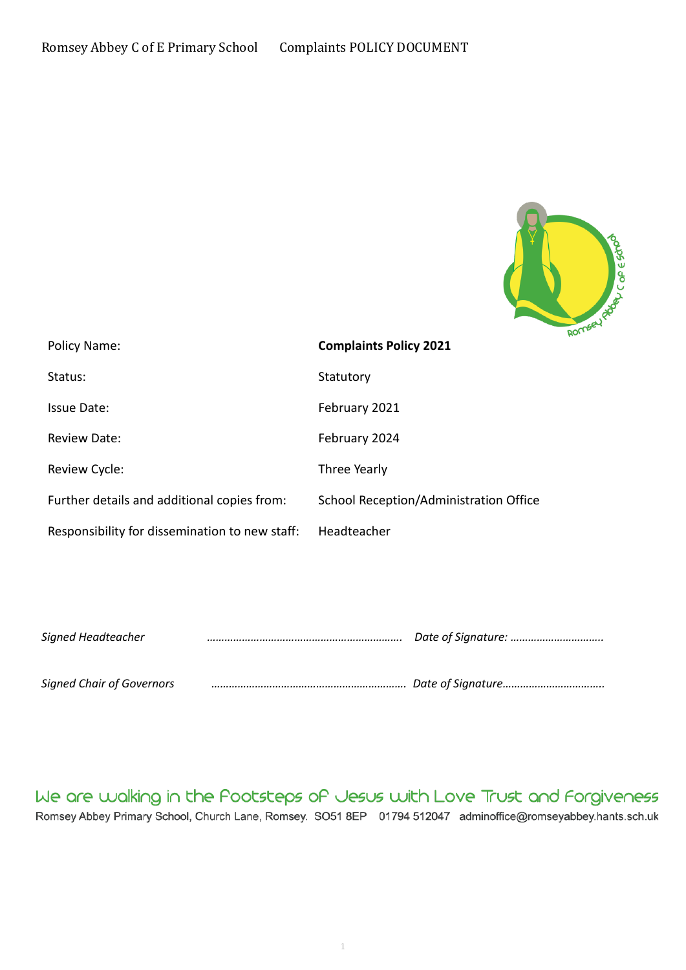

| Policy Name:                                   | <b>Complaints Policy 2021</b>          |
|------------------------------------------------|----------------------------------------|
| Status:                                        | Statutory                              |
| Issue Date:                                    | February 2021                          |
| <b>Review Date:</b>                            | February 2024                          |
| Review Cycle:                                  | Three Yearly                           |
| Further details and additional copies from:    | School Reception/Administration Office |
| Responsibility for dissemination to new staff: | Headteacher                            |

| Signed Headteacher               |  |  |
|----------------------------------|--|--|
|                                  |  |  |
| <b>Signed Chair of Governors</b> |  |  |

We are walking in the Pootsteps of Jesus with Love Trust and Forgiveness Romsey Abbey Primary School, Church Lane, Romsey. SO51 8EP 01794 512047 adminoffice@romseyabbey.hants.sch.uk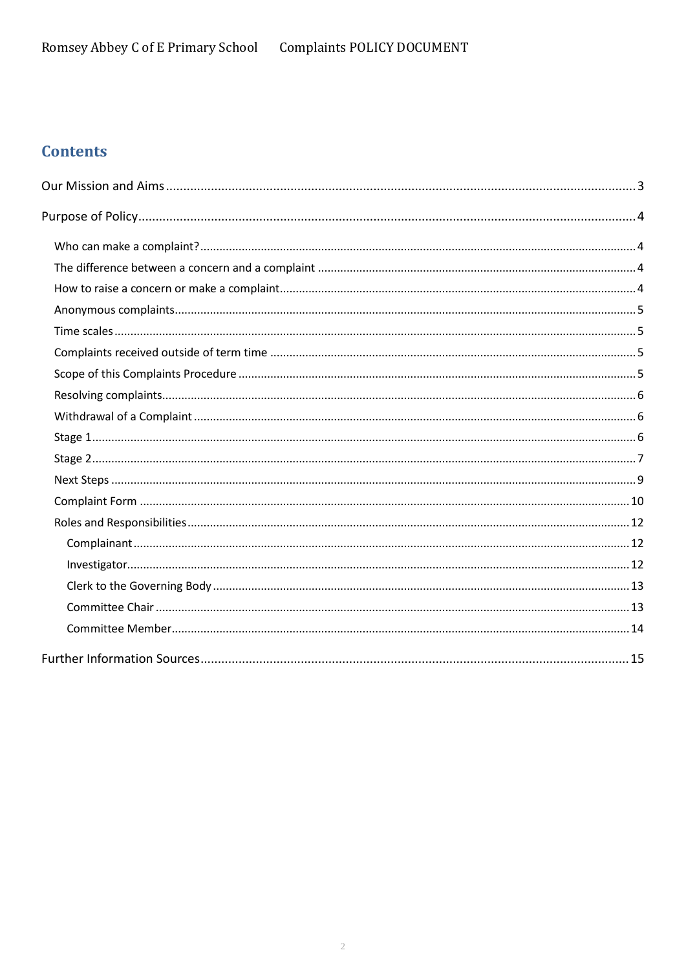# **Contents**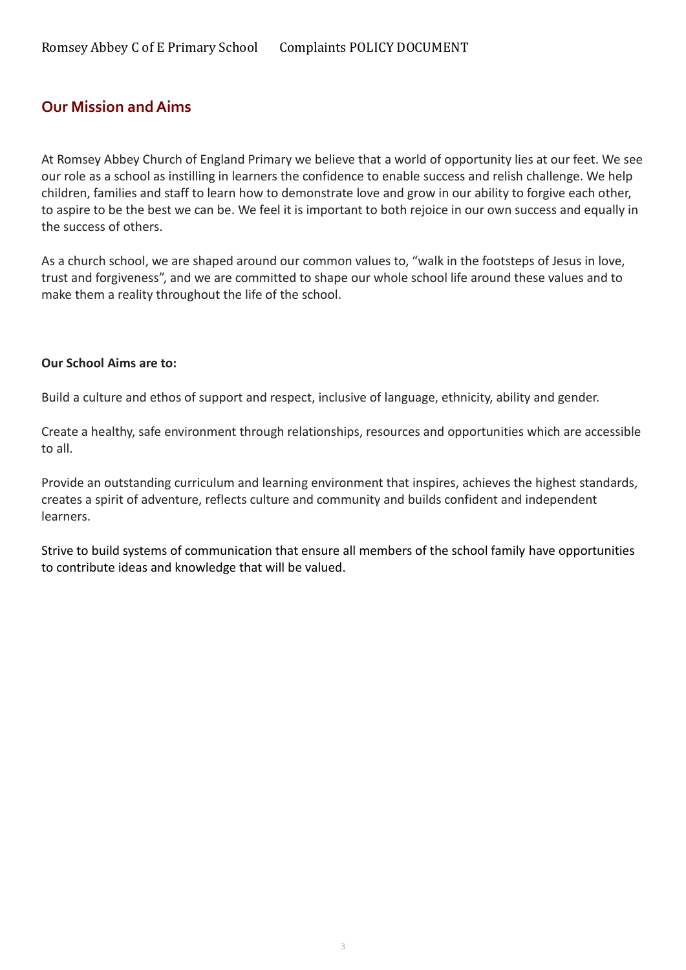# <span id="page-2-0"></span>**Our Mission and Aims**

At Romsey Abbey Church of England Primary we believe that a world of opportunity lies at our feet. We see our role as a school as instilling in learners the confidence to enable success and relish challenge. We help children, families and staff to learn how to demonstrate love and grow in our ability to forgive each other, to aspire to be the best we can be. We feel it is important to both rejoice in our own success and equally in the success of others.

As a church school, we are shaped around our common values to, "walk in the footsteps of Jesus in love, trust and forgiveness", and we are committed to shape our whole school life around these values and to make them a reality throughout the life of the school.

#### **Our School Aims are to:**

Build a culture and ethos of support and respect, inclusive of language, ethnicity, ability and gender.

Create a healthy, safe environment through relationships, resources and opportunities which are accessible to all.

Provide an outstanding curriculum and learning environment that inspires, achieves the highest standards, creates a spirit of adventure, reflects culture and community and builds confident and independent learners.

Strive to build systems of communication that ensure all members of the school family have opportunities to contribute ideas and knowledge that will be valued.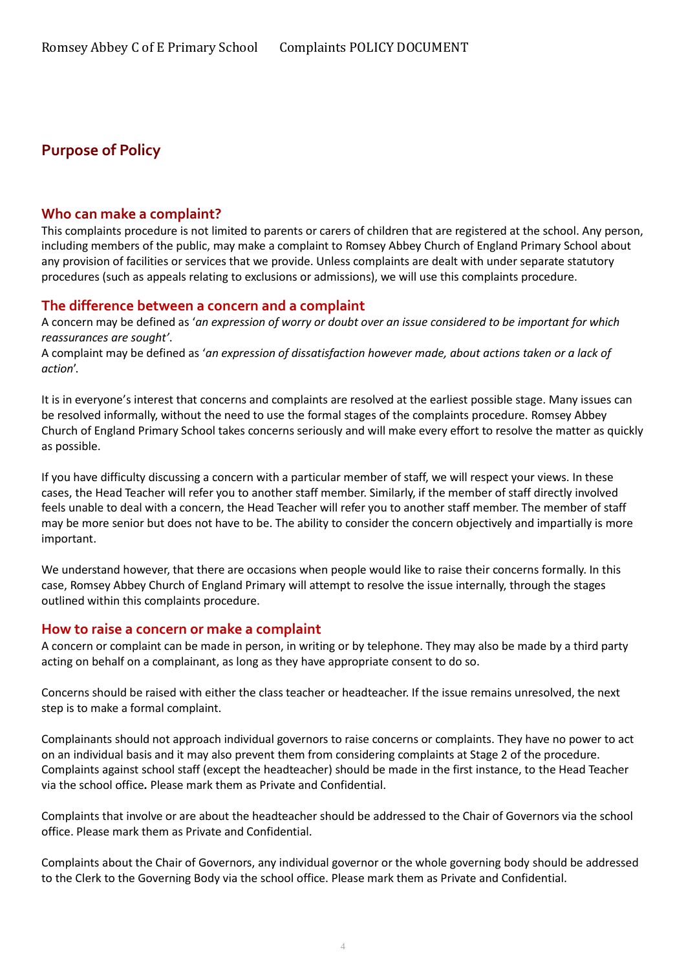# <span id="page-3-0"></span>**Purpose of Policy**

#### <span id="page-3-1"></span>**Who can make a complaint?**

This complaints procedure is not limited to parents or carers of children that are registered at the school. Any person, including members of the public, may make a complaint to Romsey Abbey Church of England Primary School about any provision of facilities or services that we provide. Unless complaints are dealt with under separate statutory procedures (such as appeals relating to exclusions or admissions), we will use this complaints procedure.

#### <span id="page-3-2"></span>**The difference between a concern and a complaint**

A concern may be defined as '*an expression of worry or doubt over an issue considered to be important for which reassurances are sought'*.

A complaint may be defined as '*an expression of dissatisfaction however made, about actions taken or a lack of action*'.

It is in everyone's interest that concerns and complaints are resolved at the earliest possible stage. Many issues can be resolved informally, without the need to use the formal stages of the complaints procedure. Romsey Abbey Church of England Primary School takes concerns seriously and will make every effort to resolve the matter as quickly as possible.

If you have difficulty discussing a concern with a particular member of staff, we will respect your views. In these cases, the Head Teacher will refer you to another staff member. Similarly, if the member of staff directly involved feels unable to deal with a concern, the Head Teacher will refer you to another staff member. The member of staff may be more senior but does not have to be. The ability to consider the concern objectively and impartially is more important.

We understand however, that there are occasions when people would like to raise their concerns formally. In this case, Romsey Abbey Church of England Primary will attempt to resolve the issue internally, through the stages outlined within this complaints procedure.

#### <span id="page-3-3"></span>**How to raise a concern or make a complaint**

A concern or complaint can be made in person, in writing or by telephone. They may also be made by a third party acting on behalf on a complainant, as long as they have appropriate consent to do so.

Concerns should be raised with either the class teacher or headteacher. If the issue remains unresolved, the next step is to make a formal complaint.

Complainants should not approach individual governors to raise concerns or complaints. They have no power to act on an individual basis and it may also prevent them from considering complaints at Stage 2 of the procedure. Complaints against school staff (except the headteacher) should be made in the first instance, to the Head Teacher via the school office*.* Please mark them as Private and Confidential.

Complaints that involve or are about the headteacher should be addressed to the Chair of Governors via the school office. Please mark them as Private and Confidential.

Complaints about the Chair of Governors, any individual governor or the whole governing body should be addressed to the Clerk to the Governing Body via the school office. Please mark them as Private and Confidential.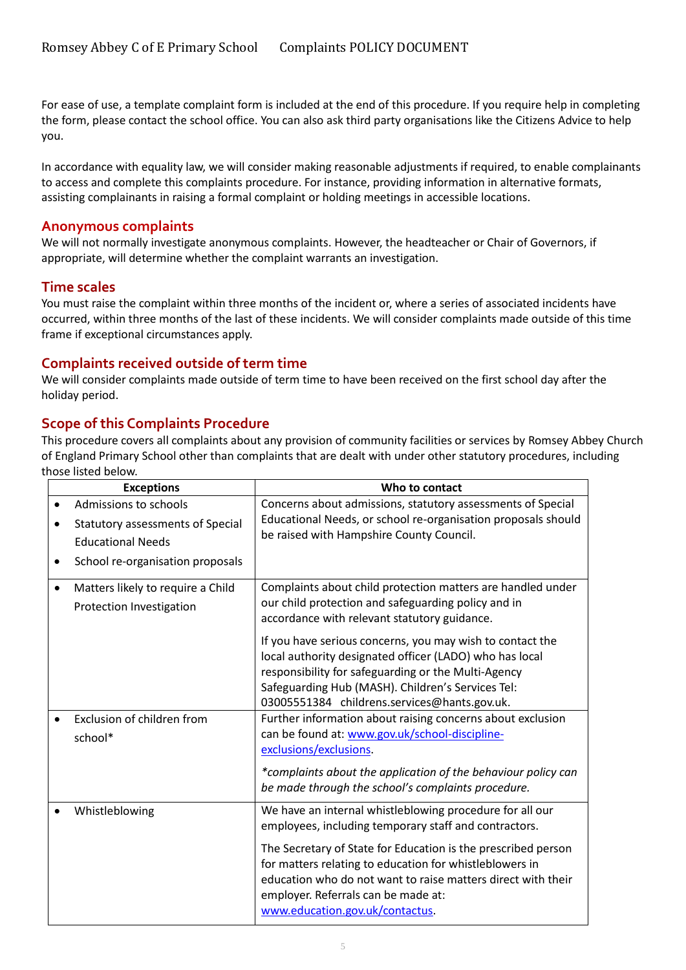For ease of use, a template complaint form is included at the end of this procedure. If you require help in completing the form, please contact the school office. You can also ask third party organisations like the Citizens Advice to help you.

In accordance with equality law, we will consider making reasonable adjustments if required, to enable complainants to access and complete this complaints procedure. For instance, providing information in alternative formats, assisting complainants in raising a formal complaint or holding meetings in accessible locations.

#### <span id="page-4-0"></span>**Anonymous complaints**

We will not normally investigate anonymous complaints. However, the headteacher or Chair of Governors, if appropriate, will determine whether the complaint warrants an investigation.

#### <span id="page-4-1"></span>**Time scales**

You must raise the complaint within three months of the incident or, where a series of associated incidents have occurred, within three months of the last of these incidents. We will consider complaints made outside of this time frame if exceptional circumstances apply.

#### <span id="page-4-2"></span>**Complaints received outside of term time**

We will consider complaints made outside of term time to have been received on the first school day after the holiday period.

### <span id="page-4-3"></span>**Scope of this Complaints Procedure**

This procedure covers all complaints about any provision of community facilities or services by Romsey Abbey Church of England Primary School other than complaints that are dealt with under other statutory procedures, including those listed below.

| <b>Exceptions</b>                                                                                                                | Who to contact                                                                                                                                                                                                                                                                                                                                                                          |
|----------------------------------------------------------------------------------------------------------------------------------|-----------------------------------------------------------------------------------------------------------------------------------------------------------------------------------------------------------------------------------------------------------------------------------------------------------------------------------------------------------------------------------------|
| Admissions to schools<br><b>Statutory assessments of Special</b><br><b>Educational Needs</b><br>School re-organisation proposals | Concerns about admissions, statutory assessments of Special<br>Educational Needs, or school re-organisation proposals should<br>be raised with Hampshire County Council.                                                                                                                                                                                                                |
| Matters likely to require a Child<br>$\bullet$<br>Protection Investigation                                                       | Complaints about child protection matters are handled under<br>our child protection and safeguarding policy and in<br>accordance with relevant statutory guidance.                                                                                                                                                                                                                      |
|                                                                                                                                  | If you have serious concerns, you may wish to contact the<br>local authority designated officer (LADO) who has local<br>responsibility for safeguarding or the Multi-Agency<br>Safeguarding Hub (MASH). Children's Services Tel:<br>03005551384 childrens.services@hants.gov.uk.                                                                                                        |
| Exclusion of children from<br>school*                                                                                            | Further information about raising concerns about exclusion<br>can be found at: www.gov.uk/school-discipline-<br>exclusions/exclusions.<br>*complaints about the application of the behaviour policy can<br>be made through the school's complaints procedure.                                                                                                                           |
| Whistleblowing                                                                                                                   | We have an internal whistleblowing procedure for all our<br>employees, including temporary staff and contractors.<br>The Secretary of State for Education is the prescribed person<br>for matters relating to education for whistleblowers in<br>education who do not want to raise matters direct with their<br>employer. Referrals can be made at:<br>www.education.gov.uk/contactus. |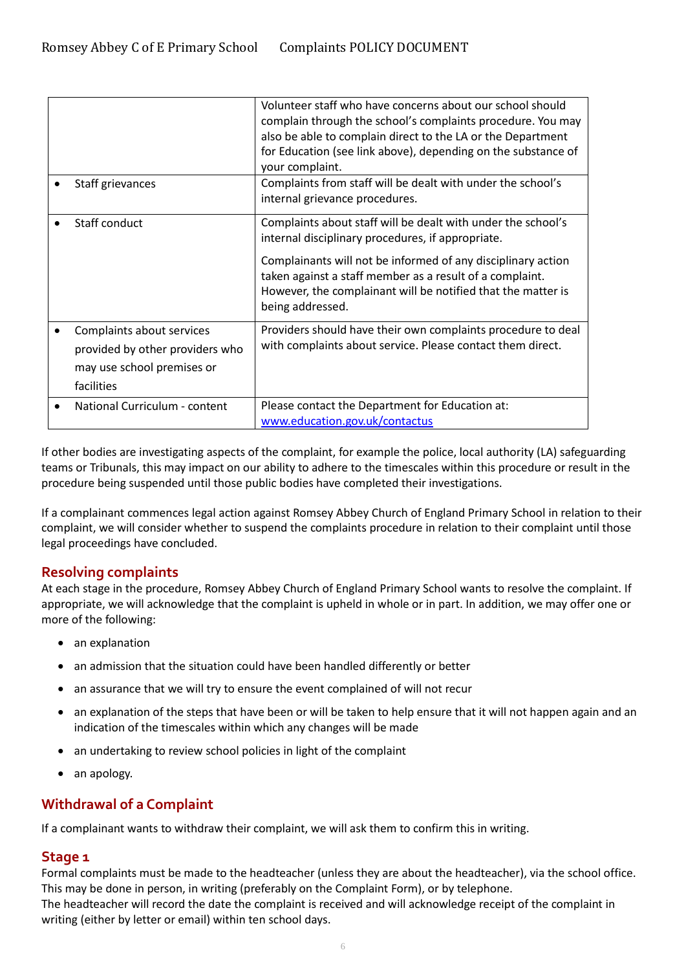|                                                                                                          | Volunteer staff who have concerns about our school should<br>complain through the school's complaints procedure. You may<br>also be able to complain direct to the LA or the Department<br>for Education (see link above), depending on the substance of<br>your complaint.                                                       |
|----------------------------------------------------------------------------------------------------------|-----------------------------------------------------------------------------------------------------------------------------------------------------------------------------------------------------------------------------------------------------------------------------------------------------------------------------------|
| Staff grievances                                                                                         | Complaints from staff will be dealt with under the school's<br>internal grievance procedures.                                                                                                                                                                                                                                     |
| Staff conduct                                                                                            | Complaints about staff will be dealt with under the school's<br>internal disciplinary procedures, if appropriate.<br>Complainants will not be informed of any disciplinary action<br>taken against a staff member as a result of a complaint.<br>However, the complainant will be notified that the matter is<br>being addressed. |
| Complaints about services<br>provided by other providers who<br>may use school premises or<br>facilities | Providers should have their own complaints procedure to deal<br>with complaints about service. Please contact them direct.                                                                                                                                                                                                        |
| National Curriculum - content                                                                            | Please contact the Department for Education at:<br>www.education.gov.uk/contactus                                                                                                                                                                                                                                                 |

If other bodies are investigating aspects of the complaint, for example the police, local authority (LA) safeguarding teams or Tribunals, this may impact on our ability to adhere to the timescales within this procedure or result in the procedure being suspended until those public bodies have completed their investigations.

If a complainant commences legal action against Romsey Abbey Church of England Primary School in relation to their complaint, we will consider whether to suspend the complaints procedure in relation to their complaint until those legal proceedings have concluded.

### <span id="page-5-0"></span>**Resolving complaints**

At each stage in the procedure, Romsey Abbey Church of England Primary School wants to resolve the complaint. If appropriate, we will acknowledge that the complaint is upheld in whole or in part. In addition, we may offer one or more of the following:

- an explanation
- an admission that the situation could have been handled differently or better
- an assurance that we will try to ensure the event complained of will not recur
- an explanation of the steps that have been or will be taken to help ensure that it will not happen again and an indication of the timescales within which any changes will be made
- an undertaking to review school policies in light of the complaint
- an apology.

### <span id="page-5-1"></span>**Withdrawal of a Complaint**

If a complainant wants to withdraw their complaint, we will ask them to confirm this in writing.

#### <span id="page-5-2"></span>**Stage 1**

Formal complaints must be made to the headteacher (unless they are about the headteacher), via the school office. This may be done in person, in writing (preferably on the Complaint Form), or by telephone.

The headteacher will record the date the complaint is received and will acknowledge receipt of the complaint in writing (either by letter or email) within ten school days.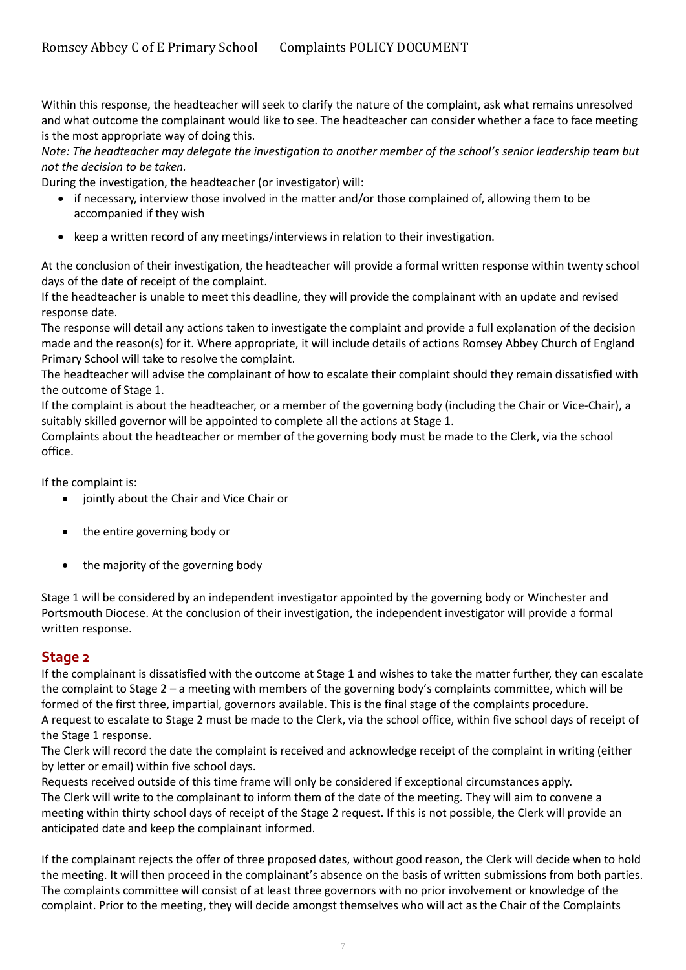Within this response, the headteacher will seek to clarify the nature of the complaint, ask what remains unresolved and what outcome the complainant would like to see. The headteacher can consider whether a face to face meeting is the most appropriate way of doing this.

*Note: The headteacher may delegate the investigation to another member of the school's senior leadership team but not the decision to be taken.*

During the investigation, the headteacher (or investigator) will:

- if necessary, interview those involved in the matter and/or those complained of, allowing them to be accompanied if they wish
- keep a written record of any meetings/interviews in relation to their investigation.

At the conclusion of their investigation, the headteacher will provide a formal written response within twenty school days of the date of receipt of the complaint.

If the headteacher is unable to meet this deadline, they will provide the complainant with an update and revised response date.

The response will detail any actions taken to investigate the complaint and provide a full explanation of the decision made and the reason(s) for it. Where appropriate, it will include details of actions Romsey Abbey Church of England Primary School will take to resolve the complaint.

The headteacher will advise the complainant of how to escalate their complaint should they remain dissatisfied with the outcome of Stage 1.

If the complaint is about the headteacher, or a member of the governing body (including the Chair or Vice-Chair), a suitably skilled governor will be appointed to complete all the actions at Stage 1.

Complaints about the headteacher or member of the governing body must be made to the Clerk, via the school office.

If the complaint is:

- jointly about the Chair and Vice Chair or
- the entire governing body or
- the majority of the governing body

Stage 1 will be considered by an independent investigator appointed by the governing body or Winchester and Portsmouth Diocese. At the conclusion of their investigation, the independent investigator will provide a formal written response.

#### <span id="page-6-0"></span>**Stage 2**

If the complainant is dissatisfied with the outcome at Stage 1 and wishes to take the matter further, they can escalate the complaint to Stage 2 – a meeting with members of the governing body's complaints committee, which will be formed of the first three, impartial, governors available. This is the final stage of the complaints procedure. A request to escalate to Stage 2 must be made to the Clerk, via the school office, within five school days of receipt of the Stage 1 response.

The Clerk will record the date the complaint is received and acknowledge receipt of the complaint in writing (either by letter or email) within five school days.

Requests received outside of this time frame will only be considered if exceptional circumstances apply. The Clerk will write to the complainant to inform them of the date of the meeting. They will aim to convene a meeting within thirty school days of receipt of the Stage 2 request. If this is not possible, the Clerk will provide an anticipated date and keep the complainant informed.

If the complainant rejects the offer of three proposed dates, without good reason, the Clerk will decide when to hold the meeting. It will then proceed in the complainant's absence on the basis of written submissions from both parties. The complaints committee will consist of at least three governors with no prior involvement or knowledge of the complaint. Prior to the meeting, they will decide amongst themselves who will act as the Chair of the Complaints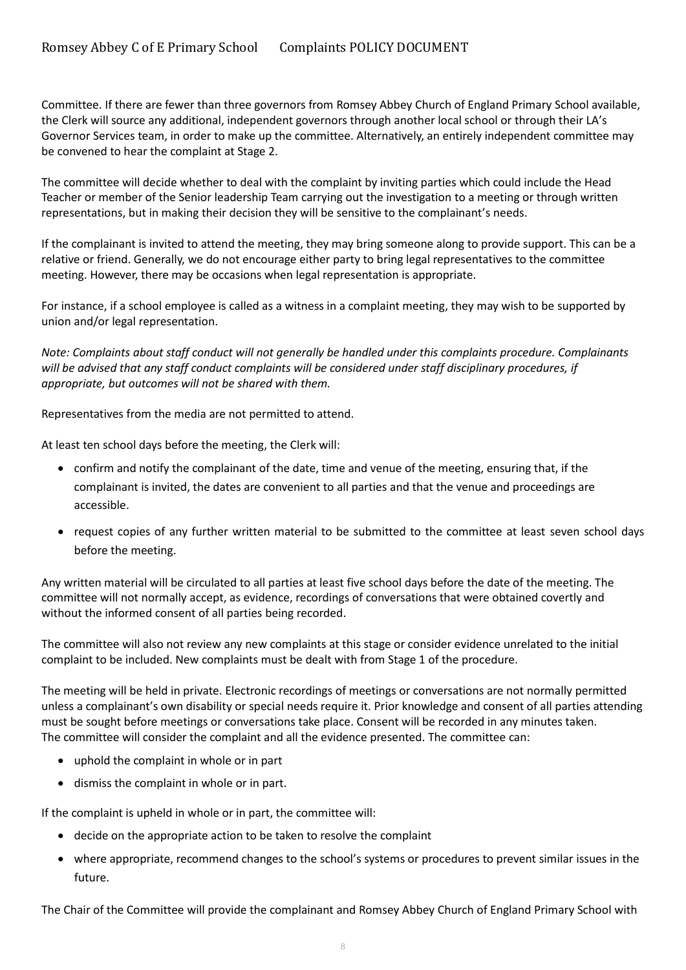Committee. If there are fewer than three governors from Romsey Abbey Church of England Primary School available, the Clerk will source any additional, independent governors through another local school or through their LA's Governor Services team, in order to make up the committee. Alternatively, an entirely independent committee may be convened to hear the complaint at Stage 2.

The committee will decide whether to deal with the complaint by inviting parties which could include the Head Teacher or member of the Senior leadership Team carrying out the investigation to a meeting or through written representations, but in making their decision they will be sensitive to the complainant's needs.

If the complainant is invited to attend the meeting, they may bring someone along to provide support. This can be a relative or friend. Generally, we do not encourage either party to bring legal representatives to the committee meeting. However, there may be occasions when legal representation is appropriate.

For instance, if a school employee is called as a witness in a complaint meeting, they may wish to be supported by union and/or legal representation.

*Note: Complaints about staff conduct will not generally be handled under this complaints procedure. Complainants will be advised that any staff conduct complaints will be considered under staff disciplinary procedures, if appropriate, but outcomes will not be shared with them.* 

Representatives from the media are not permitted to attend.

At least ten school days before the meeting, the Clerk will:

- confirm and notify the complainant of the date, time and venue of the meeting, ensuring that, if the complainant is invited, the dates are convenient to all parties and that the venue and proceedings are accessible.
- request copies of any further written material to be submitted to the committee at least seven school days before the meeting.

Any written material will be circulated to all parties at least five school days before the date of the meeting. The committee will not normally accept, as evidence, recordings of conversations that were obtained covertly and without the informed consent of all parties being recorded.

The committee will also not review any new complaints at this stage or consider evidence unrelated to the initial complaint to be included. New complaints must be dealt with from Stage 1 of the procedure.

The meeting will be held in private. Electronic recordings of meetings or conversations are not normally permitted unless a complainant's own disability or special needs require it. Prior knowledge and consent of all parties attending must be sought before meetings or conversations take place. Consent will be recorded in any minutes taken. The committee will consider the complaint and all the evidence presented. The committee can:

- uphold the complaint in whole or in part
- dismiss the complaint in whole or in part.

If the complaint is upheld in whole or in part, the committee will:

- decide on the appropriate action to be taken to resolve the complaint
- where appropriate, recommend changes to the school's systems or procedures to prevent similar issues in the future.

The Chair of the Committee will provide the complainant and Romsey Abbey Church of England Primary School with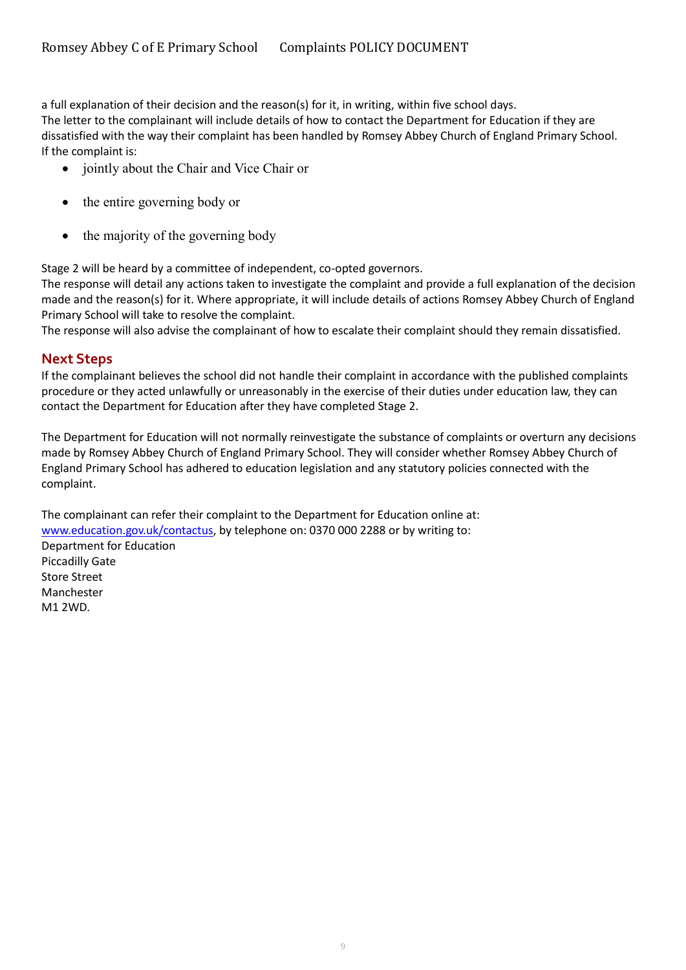a full explanation of their decision and the reason(s) for it, in writing, within five school days. The letter to the complainant will include details of how to contact the Department for Education if they are dissatisfied with the way their complaint has been handled by Romsey Abbey Church of England Primary School. If the complaint is:

- jointly about the Chair and Vice Chair or
- the entire governing body or
- the majority of the governing body

Stage 2 will be heard by a committee of independent, co-opted governors.

The response will detail any actions taken to investigate the complaint and provide a full explanation of the decision made and the reason(s) for it. Where appropriate, it will include details of actions Romsey Abbey Church of England Primary School will take to resolve the complaint.

The response will also advise the complainant of how to escalate their complaint should they remain dissatisfied.

### <span id="page-8-0"></span>**Next Steps**

If the complainant believes the school did not handle their complaint in accordance with the published complaints procedure or they acted unlawfully or unreasonably in the exercise of their duties under education law, they can contact the Department for Education after they have completed Stage 2.

The Department for Education will not normally reinvestigate the substance of complaints or overturn any decisions made by Romsey Abbey Church of England Primary School. They will consider whether Romsey Abbey Church of England Primary School has adhered to education legislation and any statutory policies connected with the complaint.

The complainant can refer their complaint to the Department for Education online at: [www.education.gov.uk/contactus,](http://www.education.gov.uk/contactus) by telephone on: 0370 000 2288 or by writing to: Department for Education Piccadilly Gate Store Street Manchester M1 2WD.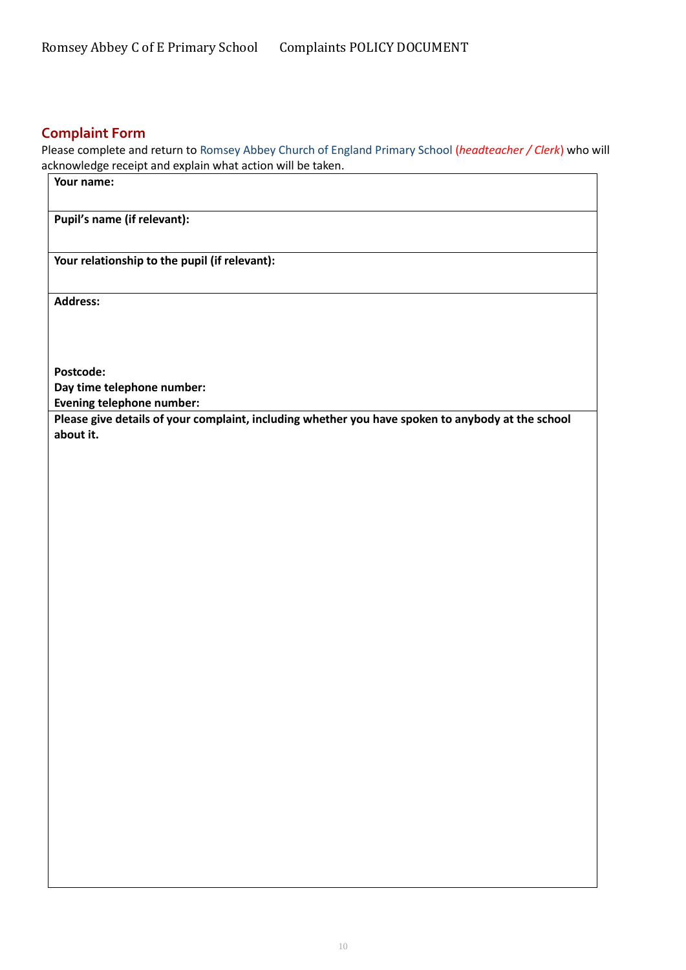### <span id="page-9-0"></span>**Complaint Form**

Please complete and return to Romsey Abbey Church of England Primary School (*headteacher / Clerk*) who will acknowledge receipt and explain what action will be taken.

| Your name:                                                                                                     |
|----------------------------------------------------------------------------------------------------------------|
| Pupil's name (if relevant):                                                                                    |
| Your relationship to the pupil (if relevant):                                                                  |
| <b>Address:</b>                                                                                                |
|                                                                                                                |
| Postcode:                                                                                                      |
| Day time telephone number:                                                                                     |
| <b>Evening telephone number:</b>                                                                               |
| Please give details of your complaint, including whether you have spoken to anybody at the school<br>about it. |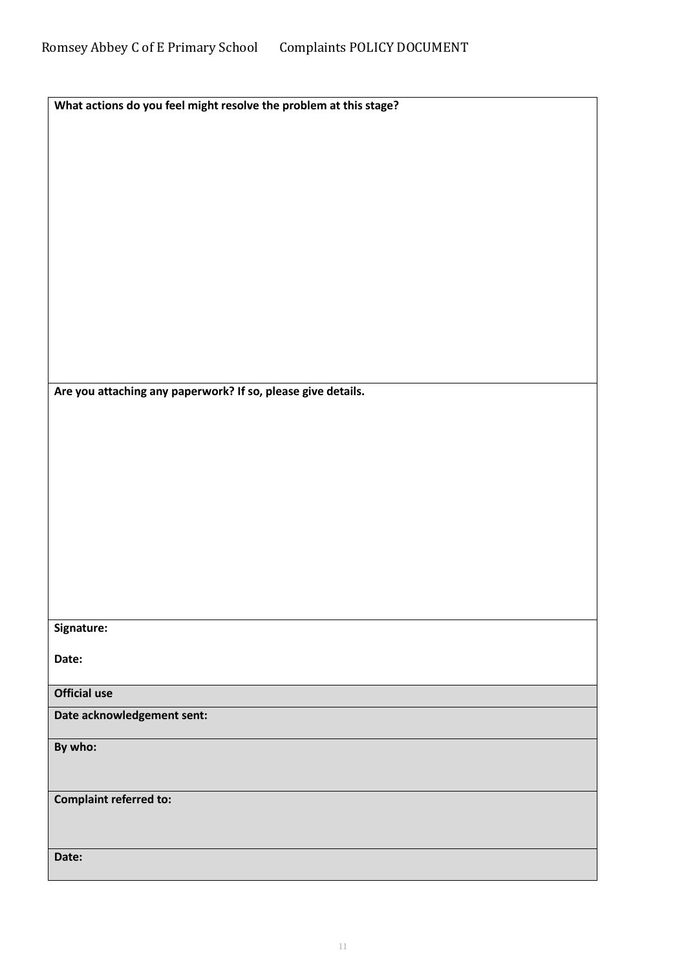| What actions do you feel might resolve the problem at this stage? |  |
|-------------------------------------------------------------------|--|

**Are you attaching any paperwork? If so, please give details.**

**Signature:**

**Date:**

**Official use**

**Date acknowledgement sent:**

**By who:** 

**Complaint referred to:**

**Date:**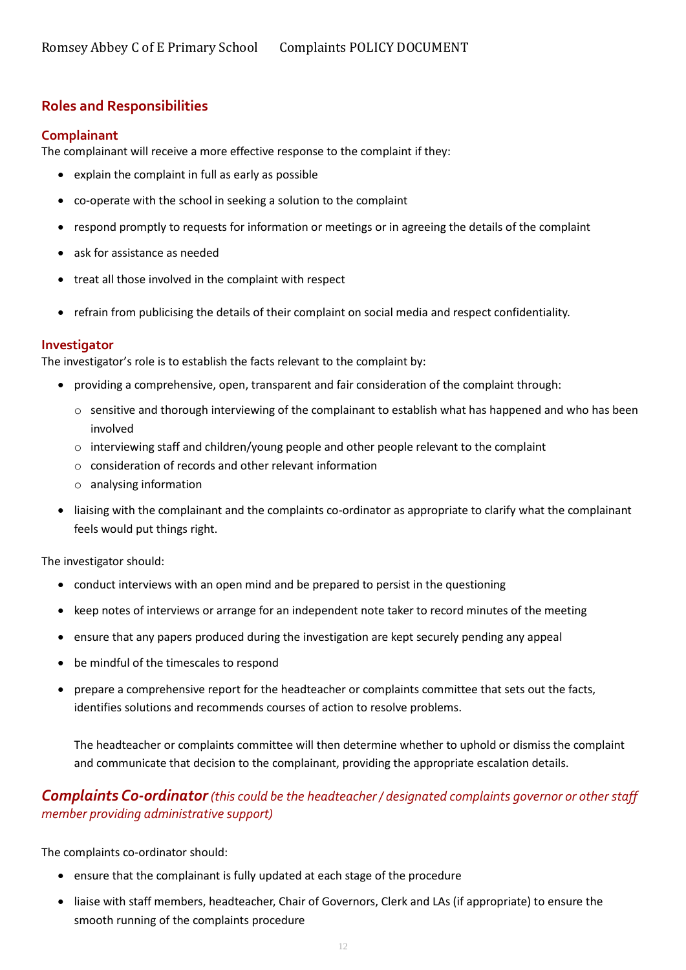### <span id="page-11-0"></span>**Roles and Responsibilities**

#### <span id="page-11-1"></span>**Complainant**

The complainant will receive a more effective response to the complaint if they:

- explain the complaint in full as early as possible
- co-operate with the school in seeking a solution to the complaint
- respond promptly to requests for information or meetings or in agreeing the details of the complaint
- ask for assistance as needed
- treat all those involved in the complaint with respect
- refrain from publicising the details of their complaint on social media and respect confidentiality.

#### <span id="page-11-2"></span>**Investigator**

The investigator's role is to establish the facts relevant to the complaint by:

- providing a comprehensive, open, transparent and fair consideration of the complaint through:
	- $\circ$  sensitive and thorough interviewing of the complainant to establish what has happened and who has been involved
	- $\circ$  interviewing staff and children/young people and other people relevant to the complaint
	- o consideration of records and other relevant information
	- o analysing information
- liaising with the complainant and the complaints co-ordinator as appropriate to clarify what the complainant feels would put things right.

The investigator should:

- conduct interviews with an open mind and be prepared to persist in the questioning
- keep notes of interviews or arrange for an independent note taker to record minutes of the meeting
- ensure that any papers produced during the investigation are kept securely pending any appeal
- be mindful of the timescales to respond
- prepare a comprehensive report for the headteacher or complaints committee that sets out the facts, identifies solutions and recommends courses of action to resolve problems.

The headteacher or complaints committee will then determine whether to uphold or dismiss the complaint and communicate that decision to the complainant, providing the appropriate escalation details.

## *Complaints Co-ordinator(this could be the headteacher / designated complaints governor or other staff member providing administrative support)*

The complaints co-ordinator should:

- ensure that the complainant is fully updated at each stage of the procedure
- liaise with staff members, headteacher, Chair of Governors, Clerk and LAs (if appropriate) to ensure the smooth running of the complaints procedure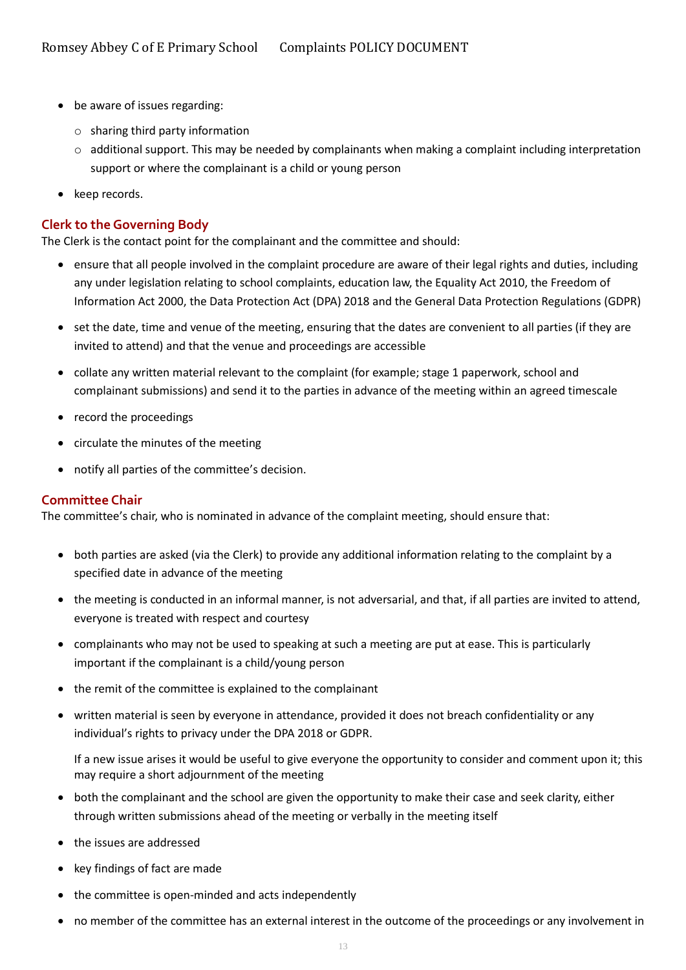- be aware of issues regarding:
	- o sharing third party information
	- $\circ$  additional support. This may be needed by complainants when making a complaint including interpretation support or where the complainant is a child or young person
- keep records.

#### <span id="page-12-0"></span>**Clerk to the Governing Body**

The Clerk is the contact point for the complainant and the committee and should:

- ensure that all people involved in the complaint procedure are aware of their legal rights and duties, including any under legislation relating to school complaints, education law, the Equality Act 2010, the Freedom of Information Act 2000, the Data Protection Act (DPA) 2018 and the General Data Protection Regulations (GDPR)
- set the date, time and venue of the meeting, ensuring that the dates are convenient to all parties (if they are invited to attend) and that the venue and proceedings are accessible
- collate any written material relevant to the complaint (for example; stage 1 paperwork, school and complainant submissions) and send it to the parties in advance of the meeting within an agreed timescale
- record the proceedings
- circulate the minutes of the meeting
- notify all parties of the committee's decision.

#### <span id="page-12-1"></span>**Committee Chair**

The committee's chair, who is nominated in advance of the complaint meeting, should ensure that:

- both parties are asked (via the Clerk) to provide any additional information relating to the complaint by a specified date in advance of the meeting
- the meeting is conducted in an informal manner, is not adversarial, and that, if all parties are invited to attend, everyone is treated with respect and courtesy
- complainants who may not be used to speaking at such a meeting are put at ease. This is particularly important if the complainant is a child/young person
- the remit of the committee is explained to the complainant
- written material is seen by everyone in attendance, provided it does not breach confidentiality or any individual's rights to privacy under the DPA 2018 or GDPR.

If a new issue arises it would be useful to give everyone the opportunity to consider and comment upon it; this may require a short adjournment of the meeting

- both the complainant and the school are given the opportunity to make their case and seek clarity, either through written submissions ahead of the meeting or verbally in the meeting itself
- the issues are addressed
- key findings of fact are made
- the committee is open-minded and acts independently
- no member of the committee has an external interest in the outcome of the proceedings or any involvement in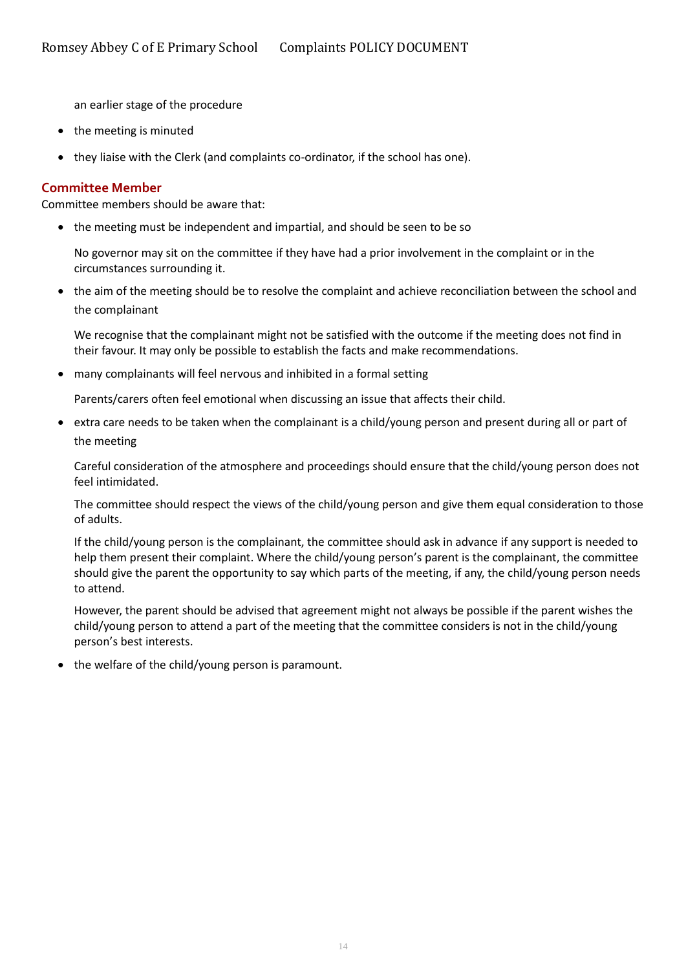an earlier stage of the procedure

- the meeting is minuted
- they liaise with the Clerk (and complaints co-ordinator, if the school has one).

#### <span id="page-13-0"></span>**Committee Member**

Committee members should be aware that:

• the meeting must be independent and impartial, and should be seen to be so

No governor may sit on the committee if they have had a prior involvement in the complaint or in the circumstances surrounding it.

• the aim of the meeting should be to resolve the complaint and achieve reconciliation between the school and the complainant

We recognise that the complainant might not be satisfied with the outcome if the meeting does not find in their favour. It may only be possible to establish the facts and make recommendations.

• many complainants will feel nervous and inhibited in a formal setting

Parents/carers often feel emotional when discussing an issue that affects their child.

• extra care needs to be taken when the complainant is a child/young person and present during all or part of the meeting

Careful consideration of the atmosphere and proceedings should ensure that the child/young person does not feel intimidated.

The committee should respect the views of the child/young person and give them equal consideration to those of adults.

If the child/young person is the complainant, the committee should ask in advance if any support is needed to help them present their complaint. Where the child/young person's parent is the complainant, the committee should give the parent the opportunity to say which parts of the meeting, if any, the child/young person needs to attend.

However, the parent should be advised that agreement might not always be possible if the parent wishes the child/young person to attend a part of the meeting that the committee considers is not in the child/young person's best interests.

• the welfare of the child/young person is paramount.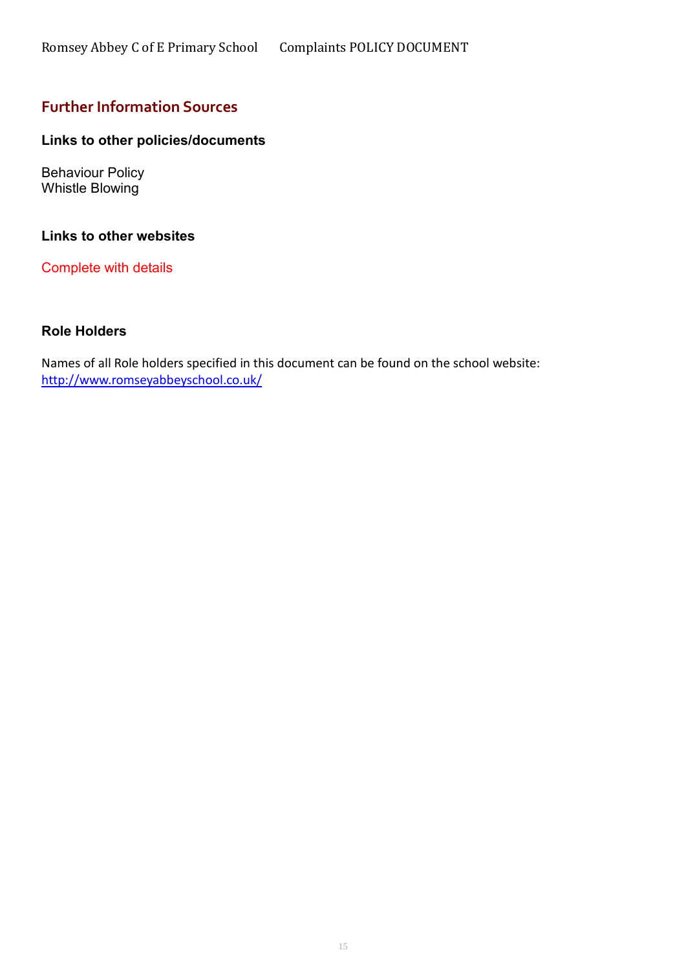# <span id="page-14-0"></span>**Further Information Sources**

### **Links to other policies/documents**

Behaviour Policy Whistle Blowing

### **Links to other websites**

Complete with details

#### **Role Holders**

Names of all Role holders specified in this document can be found on the school website: <http://www.romseyabbeyschool.co.uk/>